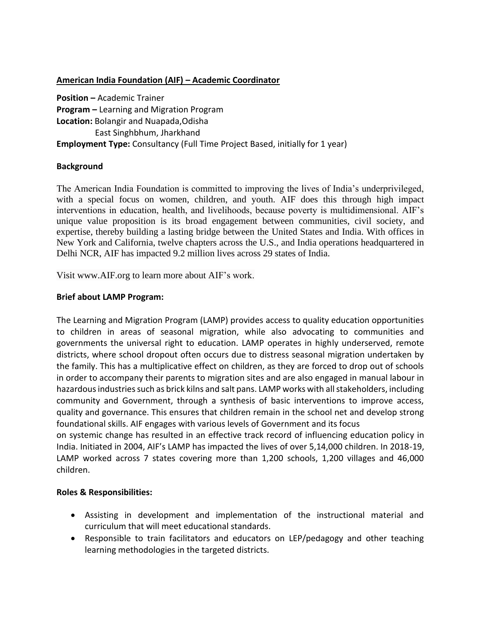## **American India Foundation (AIF) – Academic Coordinator**

**Position –** Academic Trainer **Program –** Learning and Migration Program **Location:** Bolangir and Nuapada,Odisha East Singhbhum, Jharkhand **Employment Type:** Consultancy (Full Time Project Based, initially for 1 year)

#### **Background**

The American India Foundation is committed to improving the lives of India's underprivileged, with a special focus on women, children, and youth. AIF does this through high impact interventions in education, health, and livelihoods, because poverty is multidimensional. AIF's unique value proposition is its broad engagement between communities, civil society, and expertise, thereby building a lasting bridge between the United States and India. With offices in New York and California, twelve chapters across the U.S., and India operations headquartered in Delhi NCR, AIF has impacted 9.2 million lives across 29 states of India.

Visit www.AIF.org to learn more about AIF's work.

### **Brief about LAMP Program:**

The Learning and Migration Program (LAMP) provides access to quality education opportunities to children in areas of seasonal migration, while also advocating to communities and governments the universal right to education. LAMP operates in highly underserved, remote districts, where school dropout often occurs due to distress seasonal migration undertaken by the family. This has a multiplicative effect on children, as they are forced to drop out of schools in order to accompany their parents to migration sites and are also engaged in manual labour in hazardous industries such as brick kilns and salt pans. LAMP works with all stakeholders, including community and Government, through a synthesis of basic interventions to improve access, quality and governance. This ensures that children remain in the school net and develop strong foundational skills. AIF engages with various levels of Government and its focus

on systemic change has resulted in an effective track record of influencing education policy in India. Initiated in 2004, AIF's LAMP has impacted the lives of over 5,14,000 children. In 2018-19, LAMP worked across 7 states covering more than 1,200 schools, 1,200 villages and 46,000 children.

#### **Roles & Responsibilities:**

- Assisting in development and implementation of the instructional material and curriculum that will meet educational standards.
- Responsible to train facilitators and educators on LEP/pedagogy and other teaching learning methodologies in the targeted districts.